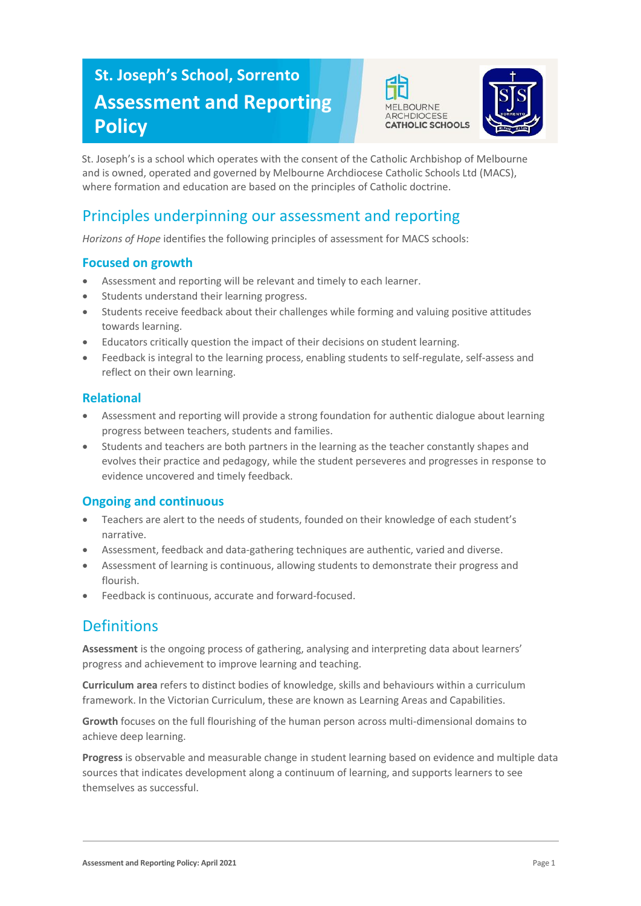# **St. Joseph's School, Sorrento Assessment and Reporting Policy**





St. Joseph's is a school which operates with the consent of the Catholic Archbishop of Melbourne and is owned, operated and governed by Melbourne Archdiocese Catholic Schools Ltd (MACS), where formation and education are based on the principles of Catholic doctrine.

# Principles underpinning our assessment and reporting

*Horizons of Hope* identifies the following principles of assessment for MACS schools:

#### **Focused on growth**

- Assessment and reporting will be relevant and timely to each learner.
- Students understand their learning progress.
- Students receive feedback about their challenges while forming and valuing positive attitudes towards learning.
- Educators critically question the impact of their decisions on student learning.
- Feedback is integral to the learning process, enabling students to self-regulate, self-assess and reflect on their own learning.

#### **Relational**

- Assessment and reporting will provide a strong foundation for authentic dialogue about learning progress between teachers, students and families.
- Students and teachers are both partners in the learning as the teacher constantly shapes and evolves their practice and pedagogy, while the student perseveres and progresses in response to evidence uncovered and timely feedback.

#### **Ongoing and continuous**

- Teachers are alert to the needs of students, founded on their knowledge of each student's narrative.
- Assessment, feedback and data-gathering techniques are authentic, varied and diverse.
- Assessment of learning is continuous, allowing students to demonstrate their progress and flourish.
- Feedback is continuous, accurate and forward-focused.

## **Definitions**

**Assessment** is the ongoing process of gathering, analysing and interpreting data about learners' progress and achievement to improve learning and teaching.

**Curriculum area** refers to distinct bodies of knowledge, skills and behaviours within a curriculum framework. In the Victorian Curriculum, these are known as Learning Areas and Capabilities.

**Growth** focuses on the full flourishing of the human person across multi-dimensional domains to achieve deep learning.

**Progress** is observable and measurable change in student learning based on evidence and multiple data sources that indicates development along a continuum of learning, and supports learners to see themselves as successful.